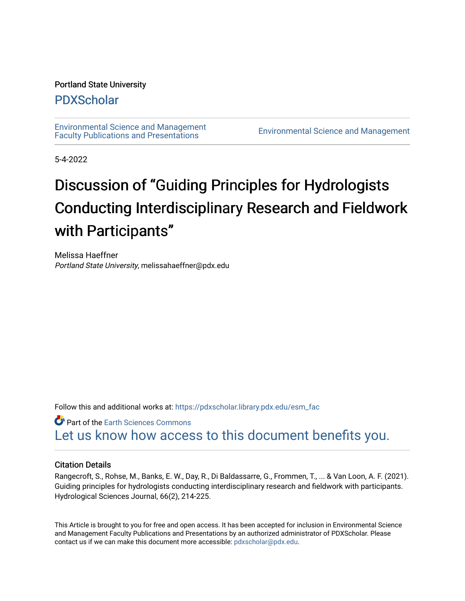# Portland State University

# [PDXScholar](https://pdxscholar.library.pdx.edu/)

[Environmental Science and Management](https://pdxscholar.library.pdx.edu/esm_fac)  [Faculty Publications and Presentations](https://pdxscholar.library.pdx.edu/esm_fac) [Environmental Science and Management](https://pdxscholar.library.pdx.edu/esm) 

5-4-2022

# Discussion of "Guiding Principles for Hydrologists Conducting Interdisciplinary Research and Fieldwork with Participants"

Melissa Haeffner Portland State University, melissahaeffner@pdx.edu

Follow this and additional works at: [https://pdxscholar.library.pdx.edu/esm\\_fac](https://pdxscholar.library.pdx.edu/esm_fac?utm_source=pdxscholar.library.pdx.edu%2Fesm_fac%2F358&utm_medium=PDF&utm_campaign=PDFCoverPages) 

**Part of the Earth Sciences Commons** [Let us know how access to this document benefits you.](http://library.pdx.edu/services/pdxscholar-services/pdxscholar-feedback/?ref=https://pdxscholar.library.pdx.edu/esm_fac/358) 

# Citation Details

Rangecroft, S., Rohse, M., Banks, E. W., Day, R., Di Baldassarre, G., Frommen, T., ... & Van Loon, A. F. (2021). Guiding principles for hydrologists conducting interdisciplinary research and fieldwork with participants. Hydrological Sciences Journal, 66(2), 214-225.

This Article is brought to you for free and open access. It has been accepted for inclusion in Environmental Science and Management Faculty Publications and Presentations by an authorized administrator of PDXScholar. Please contact us if we can make this document more accessible: [pdxscholar@pdx.edu](mailto:pdxscholar@pdx.edu).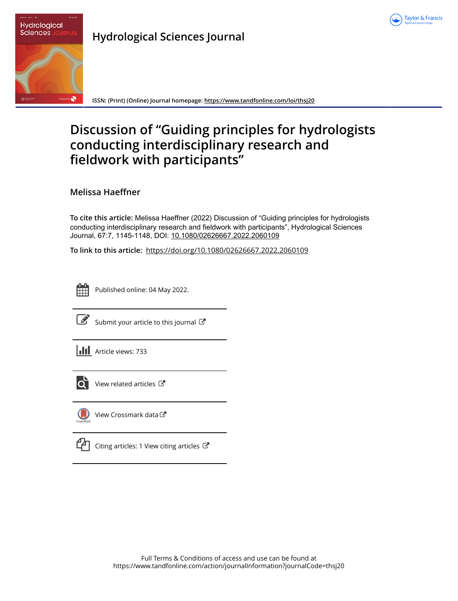



# **Hydrological Sciences Journal**

**ISSN: (Print) (Online) Journal homepage:<https://www.tandfonline.com/loi/thsj20>**

# **Discussion of "Guiding principles for hydrologists conducting interdisciplinary research and fieldwork with participants"**

**Melissa Haeffner**

**To cite this article:** Melissa Haeffner (2022) Discussion of "Guiding principles for hydrologists conducting interdisciplinary research and fieldwork with participants", Hydrological Sciences Journal, 67:7, 1145-1148, DOI: [10.1080/02626667.2022.2060109](https://www.tandfonline.com/action/showCitFormats?doi=10.1080/02626667.2022.2060109)

**To link to this article:** <https://doi.org/10.1080/02626667.2022.2060109>



Published online: 04 May 2022.



 $\overrightarrow{S}$  [Submit your article to this journal](https://www.tandfonline.com/action/authorSubmission?journalCode=thsj20&show=instructions)  $\overrightarrow{S}$ 





 $\overrightarrow{Q}$  [View related articles](https://www.tandfonline.com/doi/mlt/10.1080/02626667.2022.2060109)  $\overrightarrow{C}$ 



[View Crossmark data](http://crossmark.crossref.org/dialog/?doi=10.1080/02626667.2022.2060109&domain=pdf&date_stamp=2022-05-04)

|--|

ng articles: 1 View citing articles  $\mathbb{Z}$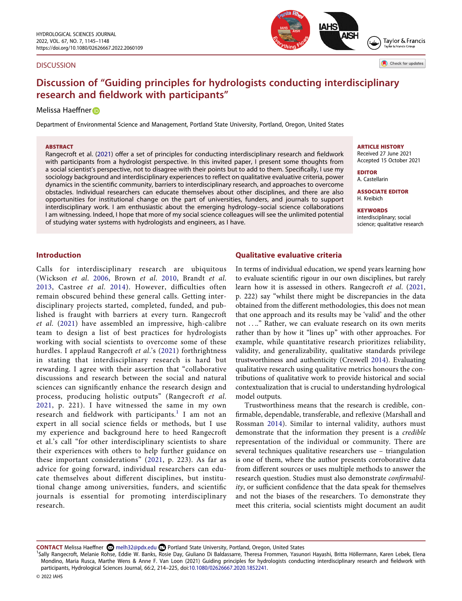#### **DISCUSSION**



Check for updates

# **Discussion of "Guiding principles for hydrologists conducting interdisciplinary research and fieldwork with participants"**

### Melissa Haeffner<sup>D</sup>

Department of Environmental Science and Management, Portland State University, Portland, Oregon, United States

#### **ABSTRACT**

Rangecroft et al. [\(2021\)](#page-5-0) offer a set of principles for conducting interdisciplinary research and fieldwork with participants from a hydrologist perspective. In this invited paper, I present some thoughts from a social scientist's perspective, not to disagree with their points but to add to them. Specifically, I use my sociology background and interdisciplinary experiences to reflect on qualitative evaluative criteria, power dynamics in the scientific community, barriers to interdisciplinary research, and approaches to overcome obstacles. Individual researchers can educate themselves about other disciplines, and there are also opportunities for institutional change on the part of universities, funders, and journals to support interdisciplinary work. I am enthusiastic about the emerging hydrology–social science collaborations I am witnessing. Indeed, I hope that more of my social science colleagues will see the unlimited potential of studying water systems with hydrologists and engineers, as I have.

#### **ARTICLE HISTORY**  Received 27 June 2021

Accepted 15 October 2021

**EDITOR**  A. Castellarin

**ASSOCIATE EDITOR**  H. Kreibich

**KEYWORDS**  interdisciplinary; social science; qualitative research

## **Introduction**

<span id="page-2-2"></span><span id="page-2-1"></span>Calls for interdisciplinary research are ubiquitous (Wickson *et al*. [2006](#page-5-1), Brown *et al*. [2010](#page-5-2), Brandt *et al*. [2013,](#page-5-3) Castree *et al*. [2014\)](#page-5-4). However, difficulties often remain obscured behind these general calls. Getting interdisciplinary projects started, completed, funded, and published is fraught with barriers at every turn. Rangecroft *et al*. [\(2021](#page-5-0)) have assembled an impressive, high-calibre team to design a list of best practices for hydrologists working with social scientists to overcome some of these hurdles. I applaud Rangecroft *et al*.'s ([2021\)](#page-5-0) forthrightness in stating that interdisciplinary research is hard but rewarding. I agree with their assertion that "collaborative discussions and research between the social and natural sciences can significantly enhance the research design and process, producing holistic outputs" (Rangecroft *et al*. [2021,](#page-5-0) p. 221). I have witnessed the same in my own research and fieldwork with participants.<sup>[1](#page-2-0)</sup> I am not an expert in all social science fields or methods, but I use my experience and background here to heed Rangecroft et al.'s call "for other interdisciplinary scientists to share their experiences with others to help further guidance on these important considerations" ([2021,](#page-5-0) p. 223). As far as advice for going forward, individual researchers can educate themselves about different disciplines, but institutional change among universities, funders, and scientific journals is essential for promoting interdisciplinary research.

### **Qualitative evaluative criteria**

<span id="page-2-5"></span>In terms of individual education, we spend years learning how to evaluate scientific rigour in our own disciplines, but rarely learn how it is assessed in others. Rangecroft *et al*. ([2021](#page-5-0), p. 222) say "whilst there might be discrepancies in the data obtained from the different methodologies, this does not mean that one approach and its results may be 'valid' and the other not . . .." Rather, we can evaluate research on its own merits rather than by how it "lines up" with other approaches. For example, while quantitative research prioritizes reliability, validity, and generalizability, qualitative standards privilege trustworthiness and authenticity (Creswell [2014](#page-5-5)). Evaluating qualitative research using qualitative metrics honours the contributions of qualitative work to provide historical and social contextualization that is crucial to understanding hydrological model outputs.

<span id="page-2-4"></span><span id="page-2-3"></span>Trustworthiness means that the research is credible, confirmable, dependable, transferable, and reflexive (Marshall and Rossman [2014\)](#page-5-6). Similar to internal validity, authors must demonstrate that the information they present is a *credible*  representation of the individual or community. There are several techniques qualitative researchers use – triangulation is one of them, where the author presents corroborative data from different sources or uses multiple methods to answer the research question. Studies must also demonstrate *confirmability*, or sufficient confidence that the data speak for themselves and not the biases of the researchers. To demonstrate they meet this criteria, social scientists might document an audit

CONTACT Melissa Haeffner **on** melh32@pdx.edu **□** Portland State University, Portland, Oregon, United States

<span id="page-2-0"></span>Sally Rangecroft, Melanie Rohse, Eddie W. Banks, Rosie Day, Giuliano Di Baldassarre, Theresa Frommen, Yasunori Hayashi, Britta Höllermann, Karen Lebek, Elena Mondino, Maria Rusca, Marthe Wens & Anne F. Van Loon (2021) Guiding principles for hydrologists conducting interdisciplinary research and fieldwork with participants, Hydrological Sciences Journal, 66:2, 214–225, doi:[10.1080/02626667.2020.1852241.](http://10.1080/02626667.2020.1852241)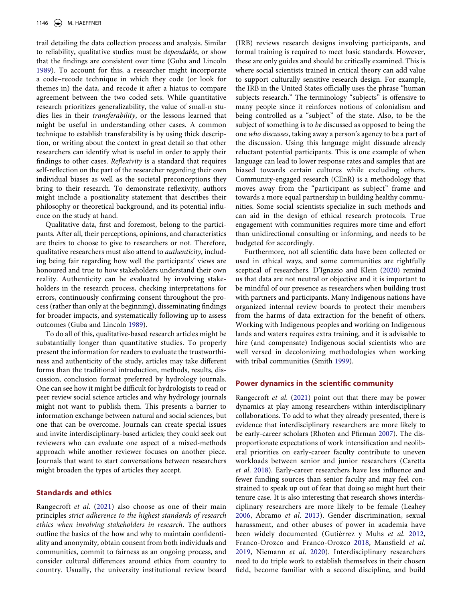trail detailing the data collection process and analysis. Similar to reliability, qualitative studies must be *dependable*, or show that the findings are consistent over time (Guba and Lincoln [1989](#page-5-7)). To account for this, a researcher might incorporate a code–recode technique in which they code (or look for themes in) the data, and recode it after a hiatus to compare agreement between the two coded sets. While quantitative research prioritizes generalizability, the value of small-n studies lies in their *transferability*, or the lessons learned that might be useful in understanding other cases. A common technique to establish transferability is by using thick description, or writing about the context in great detail so that other researchers can identify what is useful in order to apply their findings to other cases. *Reflexivity* is a standard that requires self-reflection on the part of the researcher regarding their own individual biases as well as the societal preconceptions they bring to their research. To demonstrate reflexivity, authors might include a positionality statement that describes their philosophy or theoretical background, and its potential influence on the study at hand.

Qualitative data, first and foremost, belong to the participants. After all, their perceptions, opinions, and characteristics are theirs to choose to give to researchers or not. Therefore, qualitative researchers must also attend to *authenticity*, including being fair regarding how well the participants' views are honoured and true to how stakeholders understand their own reality. Authenticity can be evaluated by involving stakeholders in the research process, checking interpretations for errors, continuously confirming consent throughout the process (rather than only at the beginning), disseminating findings for broader impacts, and systematically following up to assess outcomes (Guba and Lincoln [1989\)](#page-5-7).

<span id="page-3-4"></span>To do all of this, qualitative-based research articles might be substantially longer than quantitative studies. To properly present the information for readers to evaluate the trustworthiness and authenticity of the study, articles may take different forms than the traditional introduction, methods, results, discussion, conclusion format preferred by hydrology journals. One can see how it might be difficult for hydrologists to read or peer review social science articles and why hydrology journals might not want to publish them. This presents a barrier to information exchange between natural and social sciences, but one that can be overcome. Journals can create special issues and invite interdisciplinary-based articles; they could seek out reviewers who can evaluate one aspect of a mixed-methods approach while another reviewer focuses on another piece. Journals that want to start conversations between researchers might broaden the types of articles they accept.

### **Standards and ethics**

Rangecroft *et al*. [\(2021](#page-5-0)) also choose as one of their main principles *strict adherence to the highest standards of research ethics when involving stakeholders in research*. The authors outline the basics of the how and why to maintain confidentiality and anonymity, obtain consent from both individuals and communities, commit to fairness as an ongoing process, and consider cultural differences around ethics from country to country. Usually, the university institutional review board

(IRB) reviews research designs involving participants, and formal training is required to meet basic standards. However, these are only guides and should be critically examined. This is where social scientists trained in critical theory can add value to support culturally sensitive research design. For example, the IRB in the United States officially uses the phrase "human subjects research." The terminology "subjects" is offensive to many people since it reinforces notions of colonialism and being controlled as a "subject" of the state. Also, to be the subject of something is to *be* discussed as opposed to being the one *who discusses*, taking away a person's agency to be a part of the discussion. Using this language might dissuade already reluctant potential participants. This is one example of when language can lead to lower response rates and samples that are biased towards certain cultures while excluding others. Community-engaged research (CEnR) is a methodology that moves away from the "participant as subject" frame and towards a more equal partnership in building healthy communities. Some social scientists specialize in such methods and can aid in the design of ethical research protocols. True engagement with communities requires more time and effort than unidirectional consulting or informing, and needs to be budgeted for accordingly.

<span id="page-3-2"></span>Furthermore, not all scientific data have been collected or used in ethical ways, and some communities are rightfully sceptical of researchers. D'Ignazio and Klein [\(2020](#page-5-8)) remind us that data are not neutral or objective and it is important to be mindful of our presence as researchers when building trust with partners and participants. Many Indigenous nations have organized internal review boards to protect their members from the harms of data extraction for the benefit of others. Working with Indigenous peoples and working on Indigenous lands and waters requires extra training, and it is advisable to hire (and compensate) Indigenous social scientists who are well versed in decolonizing methodologies when working with tribal communities (Smith [1999\)](#page-5-9).

### <span id="page-3-9"></span>**Power dynamics in the scientific community**

<span id="page-3-8"></span><span id="page-3-7"></span><span id="page-3-6"></span><span id="page-3-5"></span><span id="page-3-3"></span><span id="page-3-1"></span><span id="page-3-0"></span>Rangecroft *et al*. [\(2021](#page-5-0)) point out that there may be power dynamics at play among researchers within interdisciplinary collaborations. To add to what they already presented, there is evidence that interdisciplinary researchers are more likely to be early-career scholars (Rhoten and Pfirman [2007\)](#page-5-10). The disproportionate expectations of work intensification and neoliberal priorities on early-career faculty contribute to uneven workloads between senior and junior researchers (Caretta *et al*. [2018](#page-5-11)). Early-career researchers have less influence and fewer funding sources than senior faculty and may feel constrained to speak up out of fear that doing so might hurt their tenure case. It is also interesting that research shows interdisciplinary researchers are more likely to be female (Leahey [2006](#page-5-12), Abramo *et al*. [2013\)](#page-5-13). Gender discrimination, sexual harassment, and other abuses of power in academia have been widely documented (Gutiérrez y Muhs *et al*. [2012](#page-5-14), Franco-Orozco and Franco-Orozco [2018,](#page-5-15) Mansfield *et al*. [2019,](#page-5-16) Niemann *et al*. [2020](#page-5-17)). Interdisciplinary researchers need to do triple work to establish themselves in their chosen field, become familiar with a second discipline, and build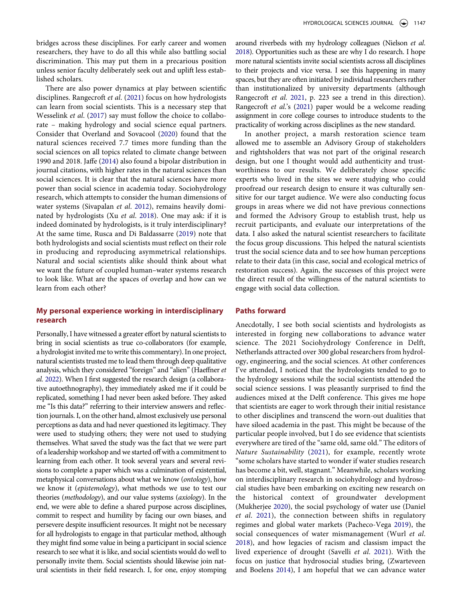bridges across these disciplines. For early career and women researchers, they have to do all this while also battling social discrimination. This may put them in a precarious position unless senior faculty deliberately seek out and uplift less established scholars.

<span id="page-4-11"></span><span id="page-4-6"></span><span id="page-4-3"></span>There are also power dynamics at play between scientific disciplines. Rangecroft *et al*. [\(2021](#page-5-0)) focus on how hydrologists can learn from social scientists. This is a necessary step that Wesselink *et al*. [\(2017](#page-5-18)) say must follow the choice to collaborate – making hydrology and social science equal partners. Consider that Overland and Sovacool ([2020](#page-5-19)) found that the natural sciences received 7.7 times more funding than the social sciences on all topics related to climate change between 1990 and 2018. Jaffe ([2014\)](#page-5-20) also found a bipolar distribution in journal citations, with higher rates in the natural sciences than social sciences. It is clear that the natural sciences have more power than social science in academia today. Sociohydrology research, which attempts to consider the human dimensions of water systems (Sivapalan *et al*. [2012\)](#page-5-21), remains heavily dominated by hydrologists (Xu *et al*. [2018](#page-5-22)). One may ask: if it is indeed dominated by hydrologists, is it truly interdisciplinary? At the same time, Rusca and Di Baldassarre ([2019](#page-5-23)) note that both hydrologists and social scientists must reflect on their role in producing and reproducing asymmetrical relationships. Natural and social scientists alike should think about what we want the future of coupled human–water systems research to look like. What are the spaces of overlap and how can we learn from each other?

# <span id="page-4-13"></span><span id="page-4-10"></span><span id="page-4-8"></span>**My personal experience working in interdisciplinary research**

<span id="page-4-2"></span>Personally, I have witnessed a greater effort by natural scientists to bring in social scientists as true co-collaborators (for example, a hydrologist invited me to write this commentary). In one project, natural scientists trusted me to lead them through deep qualitative analysis, which they considered "foreign" and "alien" (Haeffner *et al.* [2022\)](#page-5-24). When I first suggested the research design (a collaborative autoethnography), they immediately asked me if it could be replicated, something I had never been asked before. They asked me "Is this data?" referring to their interview answers and reflection journals. I, on the other hand, almost exclusively use personal perceptions as data and had never questioned its legitimacy. They were used to studying others; they were not used to studying themselves. What saved the study was the fact that we were part of a leadership workshop and we started off with a commitment to learning from each other. It took several years and several revisions to complete a paper which was a culmination of existential, metaphysical conversations about what we know (*ontology*), how we know it (*epistemology*), what methods we use to test our theories (*methodology*), and our value systems (*axiology*). In the end, we were able to define a shared purpose across disciplines, commit to respect and humility by facing our own biases, and persevere despite insufficient resources. It might not be necessary for all hydrologists to engage in that particular method, although they might find some value in being a participant in social science research to see what it is like, and social scientists would do well to personally invite them. Social scientists should likewise join natural scientists in their field research. I, for one, enjoy stomping <span id="page-4-5"></span>around riverbeds with my hydrology colleagues (Nielson *et al*. [2018](#page-5-25)). Opportunities such as these are why I do research. I hope more natural scientists invite social scientists across all disciplines to their projects and vice versa. I see this happening in many spaces, but they are often initiated by individual researchers rather than institutionalized by university departments (although Rangecroft *et al*. [2021](#page-5-0), p. 223 see a trend in this direction). Rangecroft *et al*.'s ([2021](#page-5-0)) paper would be a welcome reading assignment in core college courses to introduce students to the practicality of working across disciplines as the new standard.

In another project, a marsh restoration science team allowed me to assemble an Advisory Group of stakeholders and rightsholders that was not part of the original research design, but one I thought would add authenticity and trustworthiness to our results. We deliberately chose specific experts who lived in the sites we were studying who could proofread our research design to ensure it was culturally sensitive for our target audience. We were also conducting focus groups in areas where we did not have previous connections and formed the Advisory Group to establish trust, help us recruit participants, and evaluate our interpretations of the data. I also asked the natural scientist researchers to facilitate the focus group discussions. This helped the natural scientists trust the social science data and to see how human perceptions relate to their data (in this case, social and ecological metrics of restoration success). Again, the successes of this project were the direct result of the willingness of the natural scientists to engage with social data collection.

## **Paths forward**

<span id="page-4-14"></span><span id="page-4-12"></span><span id="page-4-9"></span><span id="page-4-7"></span><span id="page-4-4"></span><span id="page-4-1"></span><span id="page-4-0"></span>Anecdotally, I see both social scientists and hydrologists as interested in forging new collaborations to advance water science. The 2021 Sociohydrology Conference in Delft, Netherlands attracted over 300 global researchers from hydrology, engineering, and the social sciences. At other conferences I've attended, I noticed that the hydrologists tended to go to the hydrology sessions while the social scientists attended the social science sessions. I was pleasantly surprised to find the audiences mixed at the Delft conference. This gives me hope that scientists are eager to work through their initial resistance to other disciplines and transcend the worn-out dualities that have siloed academia in the past. This might be because of the particular people involved, but I do see evidence that scientists everywhere are tired of the "same old, same old." The editors of *Nature Sustainability* ([2021\)](#page-5-26), for example, recently wrote "some scholars have started to wonder if water studies research has become a bit, well, stagnant." Meanwhile, scholars working on interdisciplinary research in sociohydrology and hydrosocial studies have been embarking on exciting new research on the historical context of groundwater development (Mukherjee [2020\)](#page-5-27), the social psychology of water use (Daniel *et al*. [2021](#page-5-28)), the connection between shifts in regulatory regimes and global water markets (Pacheco-Vega [2019](#page-5-29)), the social consequences of water mismanagement (Wurl *et al*. [2018\)](#page-5-30), and how legacies of racism and classism impact the lived experience of drought (Savelli *et al*. [2021\)](#page-5-31). With the focus on justice that hydrosocial studies bring, (Zwarteveen and Boelens [2014\)](#page-5-32), I am hopeful that we can advance water